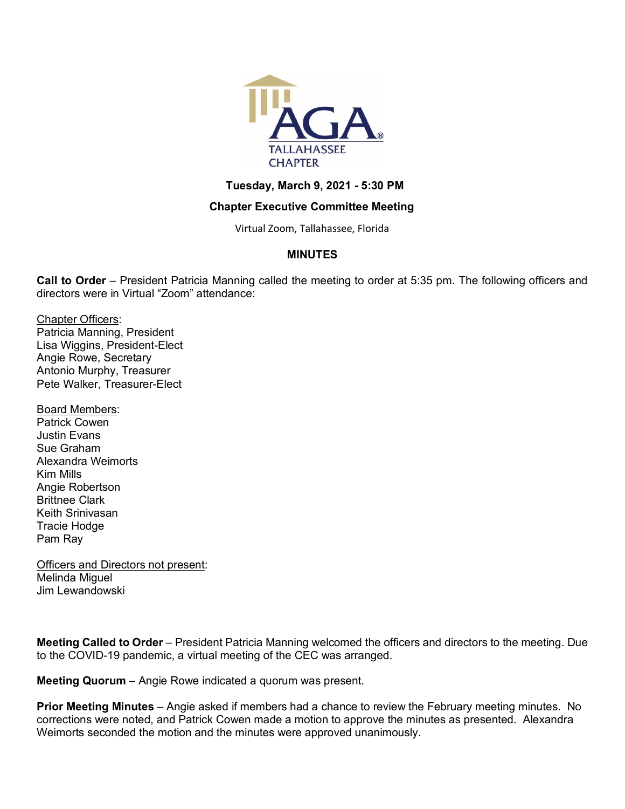

## **Tuesday, March 9, 2021 - 5:30 PM**

## **Chapter Executive Committee Meeting**

Virtual Zoom, Tallahassee, Florida

# **MINUTES**

**Call to Order** – President Patricia Manning called the meeting to order at 5:35 pm. The following officers and directors were in Virtual "Zoom" attendance:

Chapter Officers: Patricia Manning, President Lisa Wiggins, President-Elect Angie Rowe, Secretary Antonio Murphy, Treasurer Pete Walker, Treasurer-Elect

Board Members: Patrick Cowen Justin Evans Sue Graham Alexandra Weimorts Kim Mills Angie Robertson Brittnee Clark Keith Srinivasan Tracie Hodge Pam Ray

**Officers and Directors not present:** Melinda Miguel Jim Lewandowski

**Meeting Called to Order** – President Patricia Manning welcomed the officers and directors to the meeting. Due to the COVID-19 pandemic, a virtual meeting of the CEC was arranged.

**Meeting Quorum** – Angie Rowe indicated a quorum was present.

**Prior Meeting Minutes** – Angie asked if members had a chance to review the February meeting minutes. No corrections were noted, and Patrick Cowen made a motion to approve the minutes as presented. Alexandra Weimorts seconded the motion and the minutes were approved unanimously.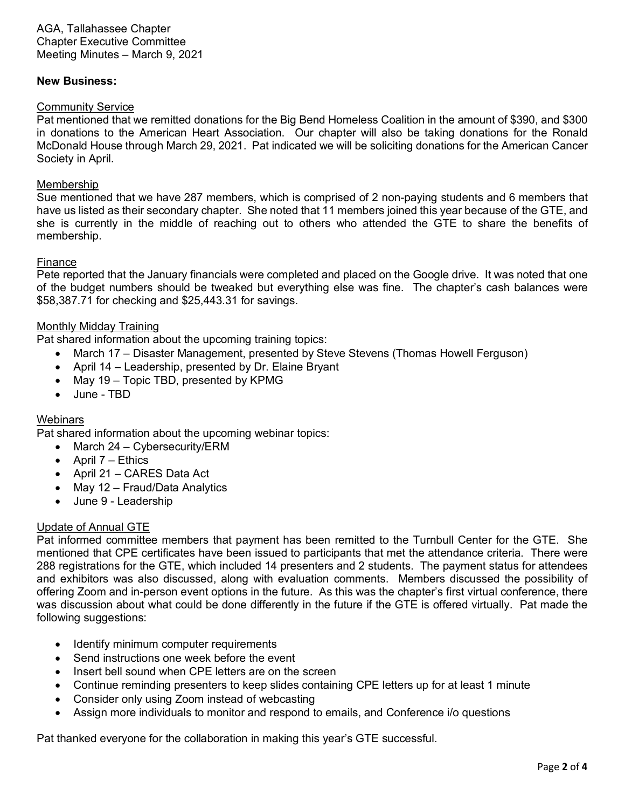AGA, Tallahassee Chapter Chapter Executive Committee Meeting Minutes – March 9, 2021

#### **New Business:**

#### Community Service

Pat mentioned that we remitted donations for the Big Bend Homeless Coalition in the amount of \$390, and \$300 in donations to the American Heart Association. Our chapter will also be taking donations for the Ronald McDonald House through March 29, 2021. Pat indicated we will be soliciting donations for the American Cancer Society in April.

#### Membership

Sue mentioned that we have 287 members, which is comprised of 2 non-paying students and 6 members that have us listed as their secondary chapter. She noted that 11 members joined this year because of the GTE, and she is currently in the middle of reaching out to others who attended the GTE to share the benefits of membership.

#### Finance

Pete reported that the January financials were completed and placed on the Google drive. It was noted that one of the budget numbers should be tweaked but everything else was fine. The chapter's cash balances were \$58,387.71 for checking and \$25,443.31 for savings.

#### Monthly Midday Training

Pat shared information about the upcoming training topics:

- March 17 Disaster Management, presented by Steve Stevens (Thomas Howell Ferguson)
- April 14 Leadership, presented by Dr. Elaine Bryant
- May 19 Topic TBD, presented by KPMG
- June TBD

#### **Webinars**

Pat shared information about the upcoming webinar topics:

- March 24 Cybersecurity/ERM
- April  $7$  Ethics
- April 21 CARES Data Act
- May 12 Fraud/Data Analytics
- June 9 Leadership

#### Update of Annual GTE

Pat informed committee members that payment has been remitted to the Turnbull Center for the GTE. She mentioned that CPE certificates have been issued to participants that met the attendance criteria. There were 288 registrations for the GTE, which included 14 presenters and 2 students. The payment status for attendees and exhibitors was also discussed, along with evaluation comments. Members discussed the possibility of offering Zoom and in-person event options in the future. As this was the chapter's first virtual conference, there was discussion about what could be done differently in the future if the GTE is offered virtually. Pat made the following suggestions:

- Identify minimum computer requirements
- Send instructions one week before the event
- Insert bell sound when CPE letters are on the screen
- Continue reminding presenters to keep slides containing CPE letters up for at least 1 minute
- Consider only using Zoom instead of webcasting
- Assign more individuals to monitor and respond to emails, and Conference i/o questions

Pat thanked everyone for the collaboration in making this year's GTE successful.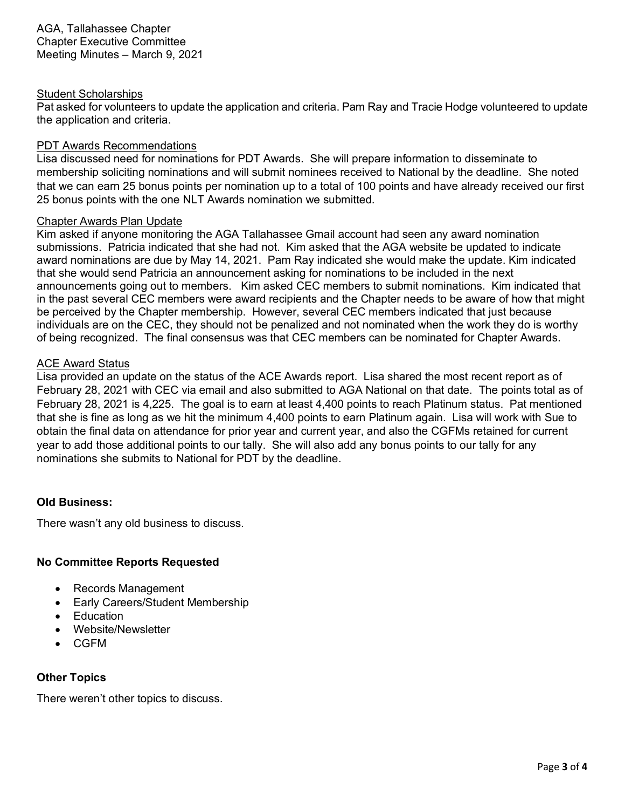AGA, Tallahassee Chapter Chapter Executive Committee Meeting Minutes – March 9, 2021

### Student Scholarships

Pat asked for volunteers to update the application and criteria. Pam Ray and Tracie Hodge volunteered to update the application and criteria.

## PDT Awards Recommendations

Lisa discussed need for nominations for PDT Awards. She will prepare information to disseminate to membership soliciting nominations and will submit nominees received to National by the deadline. She noted that we can earn 25 bonus points per nomination up to a total of 100 points and have already received our first 25 bonus points with the one NLT Awards nomination we submitted.

## Chapter Awards Plan Update

Kim asked if anyone monitoring the AGA Tallahassee Gmail account had seen any award nomination submissions. Patricia indicated that she had not. Kim asked that the AGA website be updated to indicate award nominations are due by May 14, 2021. Pam Ray indicated she would make the update. Kim indicated that she would send Patricia an announcement asking for nominations to be included in the next announcements going out to members. Kim asked CEC members to submit nominations. Kim indicated that in the past several CEC members were award recipients and the Chapter needs to be aware of how that might be perceived by the Chapter membership. However, several CEC members indicated that just because individuals are on the CEC, they should not be penalized and not nominated when the work they do is worthy of being recognized. The final consensus was that CEC members can be nominated for Chapter Awards.

## ACE Award Status

Lisa provided an update on the status of the ACE Awards report. Lisa shared the most recent report as of February 28, 2021 with CEC via email and also submitted to AGA National on that date. The points total as of February 28, 2021 is 4,225. The goal is to earn at least 4,400 points to reach Platinum status. Pat mentioned that she is fine as long as we hit the minimum 4,400 points to earn Platinum again. Lisa will work with Sue to obtain the final data on attendance for prior year and current year, and also the CGFMs retained for current year to add those additional points to our tally. She will also add any bonus points to our tally for any nominations she submits to National for PDT by the deadline.

# **Old Business:**

There wasn't any old business to discuss.

# **No Committee Reports Requested**

- Records Management
- Early Careers/Student Membership
- **Education**
- Website/Newsletter
- CGFM

# **Other Topics**

There weren't other topics to discuss.